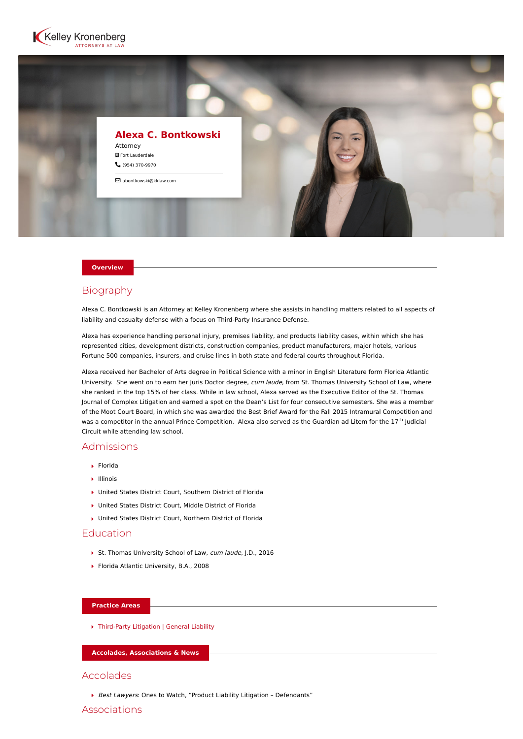



#### **Overview**

# Biography

Alexa C. Bontkowski is an Attorney at Kelley Kronenberg where she assists in handling matters related to all aspects of liability and casualty defense with a focus on Third-Party Insurance Defense.

Alexa has experience handling personal injury, premises liability, and products liability cases, within which she has represented cities, development districts, construction companies, product manufacturers, major hotels, various Fortune 500 companies, insurers, and cruise lines in both state and federal courts throughout Florida.

Alexa received her Bachelor of Arts degree in Political Science with a minor in English Literature form Florida Atlantic University. She went on to earn her Juris Doctor degree, cum laude, from St. Thomas University School of Law, where she ranked in the top 15% of her class. While in law school, Alexa served as the Executive Editor of the St. Thomas Journal of Complex Litigation and earned a spot on the Dean's List for four consecutive semesters. She was a member of the Moot Court Board, in which she was awarded the Best Brief Award for the Fall 2015 Intramural Competition and was a competitor in the annual Prince Competition. Alexa also served as the Guardian ad Litem for the 17<sup>th</sup> Judicial Circuit while attending law school.

# Admissions

- Florida
- Illinois
- United States District Court, Southern District of Florida
- United States District Court, Middle District of Florida
- United States District Court, Northern District of Florida

# Education

- St. Thomas University School of Law, cum laude, J.D., 2016
- ▶ Florida Atlantic University, B.A., 2008

#### **Practice Areas**

[Third-Party Litigation | General Liability](https://www.kelleykronenberg.com/our-practices/third-party-insurance-defense/)

**Accolades, Associations & News**

### Accolades

Best Lawyers: Ones to Watch, "Product Liability Litigation - Defendants"

Associations